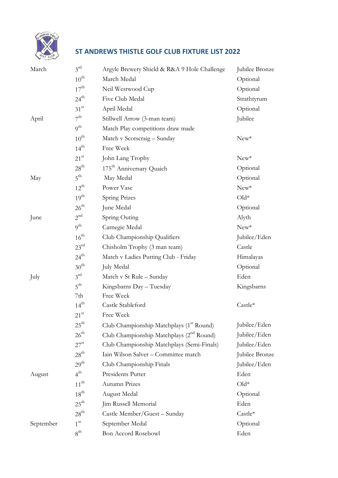

## **ST ANDREWS THISTLE GOLF CLUB FIXTURE LIST 2022**

| March     | $3^{rd}$         | Argyle Brewery Shield & R&A 9 Hole Challenge  | Jubilee Bronze |
|-----------|------------------|-----------------------------------------------|----------------|
|           | $10^{\text{th}}$ | March Medal                                   | Optional       |
|           | $17^{\text{th}}$ | Neil Westwood Cup                             | Optional       |
|           | $24^{\text{th}}$ | Five Club Medal                               | Strathtyrum    |
|           | $31^{st}$        | April Medal                                   | Optional       |
| April     | $7^{\text{th}}$  | Stillwell Arrow (3-man team)                  | Jubilee        |
|           | 9 <sup>th</sup>  | Match Play competitions draw made             |                |
|           | $10^{\text{th}}$ | Match v Scotscraig - Sunday                   | $New^*$        |
|           | $14^{\text{th}}$ | Free Week                                     |                |
|           | $21^{st}$        | John Lang Trophy                              | $New^*$        |
|           | $28^{\rm th}$    | 175 <sup>th</sup> Anniversary Quaich          | Optional       |
| May       | $5^{\text{th}}$  | May Medal                                     | Optional       |
|           | $12^{\text{th}}$ | Power Vase                                    | $New*$         |
|           | $19^{\text{th}}$ | Spring Prizes                                 | $Old*$         |
|           | $26^{\text{th}}$ | June Medal                                    | Optional       |
| June      | $2^{\text{nd}}$  | Spring Outing                                 | Alyth          |
|           | 9 <sup>th</sup>  | Carnegie Medal                                | $New*$         |
|           | $16^{\text{th}}$ | Club Championship Qualifiers                  | Jubilee/Eden   |
|           | $23^{rd}$        | Chisholm Trophy (3 man team)                  | Castle         |
|           | $24^{\text{th}}$ | Match v Ladies Putting Club - Friday          | Himalayas      |
|           | $30^{\text{th}}$ | July Medal                                    | Optional       |
| July      | $3^{rd}$         | Match v St Rule - Sunday                      | Eden           |
|           | $5^{\text{th}}$  | Kingsbarns Day - Tuesday                      | Kingsbarns     |
|           | 7th              | Free Week                                     |                |
|           | $14^{th}$        | Castle Stableford                             | Castle*        |
|           | $21^{\rm st}$    | Free Week                                     |                |
|           | $25^{\text{th}}$ | Club Championship Matchplays (1st Round)      | Jubilee/Eden   |
|           | $26^{\rm th}$    | Club Championship Matchplays $(2^{nd}$ Round) | Jubilee/Eden   |
|           | $27^{\rm st}$    | Club Championship Matchplays (Semi-Finals)    | Jubilee/Eden   |
|           | $28^{\text{th}}$ | Iain Wilson Salver - Committee match          | Jubilee Bronze |
|           | $29^{\text{th}}$ | Club Championship Finals                      | Jubilee/Eden   |
| August    | $4^{\text{th}}$  | Presidents Putter                             | Eden           |
|           | $11^{th}$        | Autumn Prizes                                 | $Old*$         |
|           | $18^{\text{th}}$ | August Medal                                  | Optional       |
|           | $25^{\text{th}}$ | Jim Russell Memorial                          | Eden           |
|           | $28^{\text{th}}$ | Castle Member/Guest - Sunday                  | Castle*        |
| September | 1 <sup>st</sup>  | September Medal                               | Optional       |
|           | $8^{\text{th}}$  | Bon Accord Rosebowl                           | Eden           |